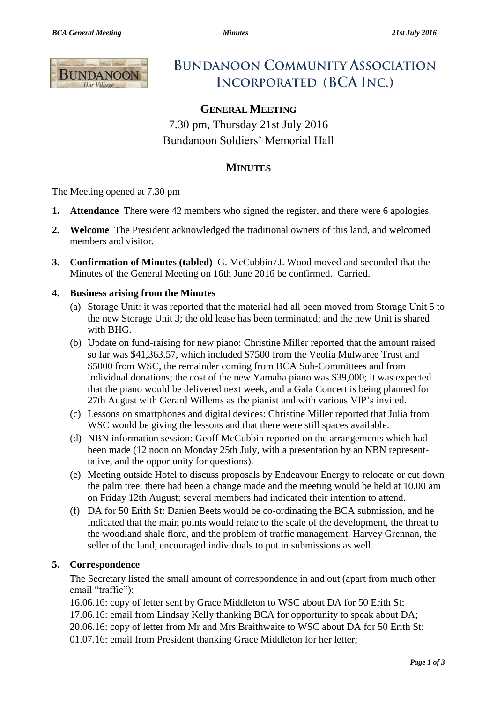

# **BUNDANOON COMMUNITY ASSOCIATION INCORPORATED (BCA INC.)**

# **GENERAL MEETING**

7.30 pm, Thursday 21st July 2016 Bundanoon Soldiers' Memorial Hall

# **MINUTES**

The Meeting opened at 7.30 pm

- **1. Attendance** There were 42 members who signed the register, and there were 6 apologies.
- **2. Welcome** The President acknowledged the traditional owners of this land, and welcomed members and visitor.
- **3. Confirmation of Minutes (tabled)** G. McCubbin /J. Wood moved and seconded that the Minutes of the General Meeting on 16th June 2016 be confirmed. Carried.

#### **4. Business arising from the Minutes**

- (a) Storage Unit: it was reported that the material had all been moved from Storage Unit 5 to the new Storage Unit 3; the old lease has been terminated; and the new Unit is shared with BHG.
- (b) Update on fund-raising for new piano: Christine Miller reported that the amount raised so far was \$41,363.57, which included \$7500 from the Veolia Mulwaree Trust and \$5000 from WSC, the remainder coming from BCA Sub-Committees and from individual donations; the cost of the new Yamaha piano was \$39,000; it was expected that the piano would be delivered next week; and a Gala Concert is being planned for 27th August with Gerard Willems as the pianist and with various VIP's invited.
- (c) Lessons on smartphones and digital devices: Christine Miller reported that Julia from WSC would be giving the lessons and that there were still spaces available.
- (d) NBN information session: Geoff McCubbin reported on the arrangements which had been made (12 noon on Monday 25th July, with a presentation by an NBN representtative, and the opportunity for questions).
- (e) Meeting outside Hotel to discuss proposals by Endeavour Energy to relocate or cut down the palm tree: there had been a change made and the meeting would be held at 10.00 am on Friday 12th August; several members had indicated their intention to attend.
- (f) DA for 50 Erith St: Danien Beets would be co-ordinating the BCA submission, and he indicated that the main points would relate to the scale of the development, the threat to the woodland shale flora, and the problem of traffic management. Harvey Grennan, the seller of the land, encouraged individuals to put in submissions as well.

#### **5. Correspondence**

The Secretary listed the small amount of correspondence in and out (apart from much other email "traffic"):

16.06.16: copy of letter sent by Grace Middleton to WSC about DA for 50 Erith St; 17.06.16: email from Lindsay Kelly thanking BCA for opportunity to speak about DA; 20.06.16: copy of letter from Mr and Mrs Braithwaite to WSC about DA for 50 Erith St; 01.07.16: email from President thanking Grace Middleton for her letter;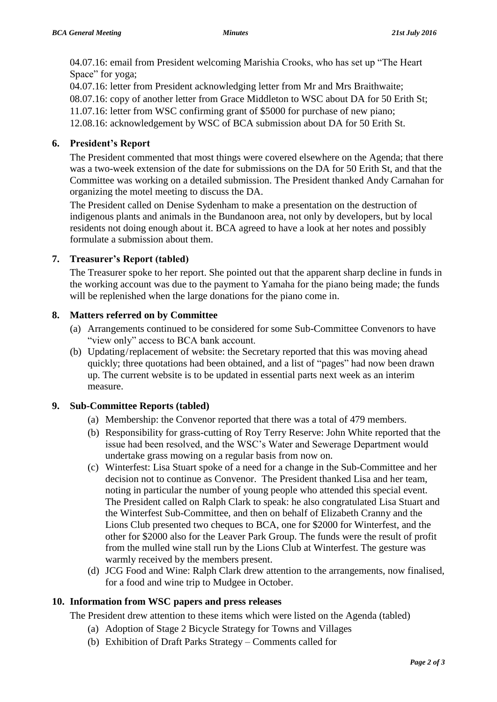04.07.16: email from President welcoming Marishia Crooks, who has set up "The Heart Space" for yoga;

04.07.16: letter from President acknowledging letter from Mr and Mrs Braithwaite; 08.07.16: copy of another letter from Grace Middleton to WSC about DA for 50 Erith St; 11.07.16: letter from WSC confirming grant of \$5000 for purchase of new piano; 12.08.16: acknowledgement by WSC of BCA submission about DA for 50 Erith St.

## **6. President's Report**

The President commented that most things were covered elsewhere on the Agenda; that there was a two-week extension of the date for submissions on the DA for 50 Erith St, and that the Committee was working on a detailed submission. The President thanked Andy Carnahan for organizing the motel meeting to discuss the DA.

The President called on Denise Sydenham to make a presentation on the destruction of indigenous plants and animals in the Bundanoon area, not only by developers, but by local residents not doing enough about it. BCA agreed to have a look at her notes and possibly formulate a submission about them.

#### **7. Treasurer's Report (tabled)**

The Treasurer spoke to her report. She pointed out that the apparent sharp decline in funds in the working account was due to the payment to Yamaha for the piano being made; the funds will be replenished when the large donations for the piano come in.

#### **8. Matters referred on by Committee**

- (a) Arrangements continued to be considered for some Sub-Committee Convenors to have "view only" access to BCA bank account.
- (b) Updating/replacement of website: the Secretary reported that this was moving ahead quickly; three quotations had been obtained, and a list of "pages" had now been drawn up. The current website is to be updated in essential parts next week as an interim measure.

#### **9. Sub-Committee Reports (tabled)**

- (a) Membership: the Convenor reported that there was a total of 479 members.
- (b) Responsibility for grass-cutting of Roy Terry Reserve: John White reported that the issue had been resolved, and the WSC's Water and Sewerage Department would undertake grass mowing on a regular basis from now on.
- (c) Winterfest: Lisa Stuart spoke of a need for a change in the Sub-Committee and her decision not to continue as Convenor. The President thanked Lisa and her team, noting in particular the number of young people who attended this special event. The President called on Ralph Clark to speak: he also congratulated Lisa Stuart and the Winterfest Sub-Committee, and then on behalf of Elizabeth Cranny and the Lions Club presented two cheques to BCA, one for \$2000 for Winterfest, and the other for \$2000 also for the Leaver Park Group. The funds were the result of profit from the mulled wine stall run by the Lions Club at Winterfest. The gesture was warmly received by the members present.
- (d) JCG Food and Wine: Ralph Clark drew attention to the arrangements, now finalised, for a food and wine trip to Mudgee in October.

#### **10. Information from WSC papers and press releases**

The President drew attention to these items which were listed on the Agenda (tabled)

- (a) Adoption of Stage 2 Bicycle Strategy for Towns and Villages
- (b) Exhibition of Draft Parks Strategy Comments called for